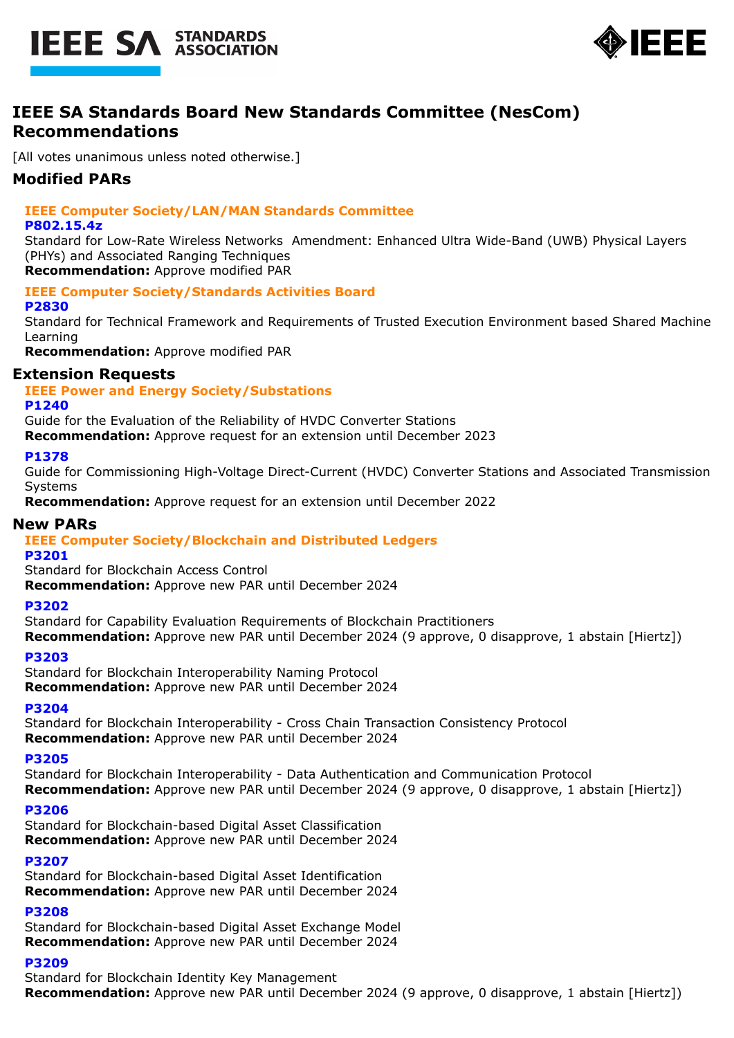



# **IEEE SA Standards Board New Standards Committee (NesCom) Recommendations**

[All votes unanimous unless noted otherwise.]

# **Modified PARs**

# **IEEE Computer Society/LAN/MAN Standards Committee**

#### **P802.15.4z**

Standard for Low-Rate Wireless Networks Amendment: Enhanced Ultra Wide-Band (UWB) Physical Layers (PHYs) and Associated Ranging Techniques

**Recommendation:** Approve modified PAR

#### **IEEE Computer Society/Standards Activities Board**

### **P2830**

Standard for Technical Framework and Requirements of Trusted Execution Environment based Shared Machine Learning

**Recommendation:** Approve modified PAR

# **Extension Requests**

# **IEEE Power and Energy Society/Substations**

#### **P1240**

Guide for the Evaluation of the Reliability of HVDC Converter Stations

**Recommendation:** Approve request for an extension until December 2023

#### **P1378**

Guide for Commissioning High-Voltage Direct-Current (HVDC) Converter Stations and Associated Transmission Systems

**Recommendation:** Approve request for an extension until December 2022

#### **New PARs**

### **IEEE Computer Society/Blockchain and Distributed Ledgers**

**P3201**

Standard for Blockchain Access Control

**Recommendation:** Approve new PAR until December 2024

#### **P3202**

Standard for Capability Evaluation Requirements of Blockchain Practitioners **Recommendation:** Approve new PAR until December 2024 (9 approve, 0 disapprove, 1 abstain [Hiertz])

#### **P3203**

Standard for Blockchain Interoperability Naming Protocol **Recommendation:** Approve new PAR until December 2024

#### **P3204**

Standard for Blockchain Interoperability - Cross Chain Transaction Consistency Protocol **Recommendation:** Approve new PAR until December 2024

### **P3205**

Standard for Blockchain Interoperability - Data Authentication and Communication Protocol **Recommendation:** Approve new PAR until December 2024 (9 approve, 0 disapprove, 1 abstain [Hiertz])

#### **P3206**

Standard for Blockchain-based Digital Asset Classification **Recommendation:** Approve new PAR until December 2024

#### **P3207**

Standard for Blockchain-based Digital Asset Identification **Recommendation:** Approve new PAR until December 2024

### **P3208**

Standard for Blockchain-based Digital Asset Exchange Model **Recommendation:** Approve new PAR until December 2024

# **P3209**

Standard for Blockchain Identity Key Management **Recommendation:** Approve new PAR until December 2024 (9 approve, 0 disapprove, 1 abstain [Hiertz])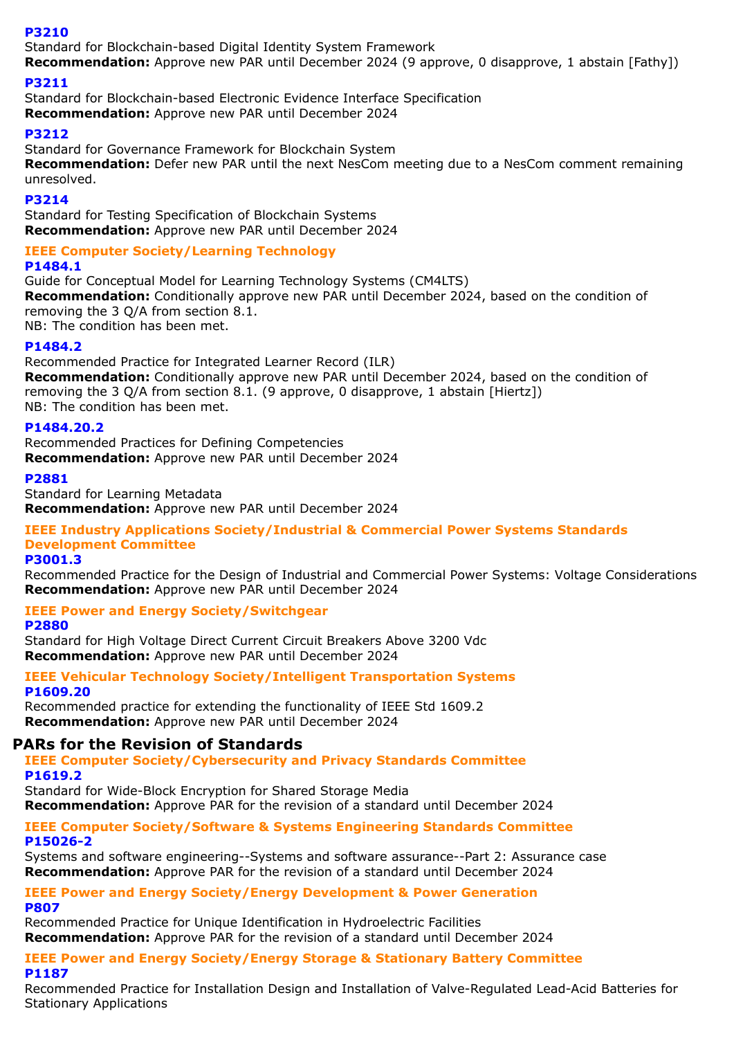### **P3210**

Standard for Blockchain-based Digital Identity System Framework

**Recommendation:** Approve new PAR until December 2024 (9 approve, 0 disapprove, 1 abstain [Fathy])

# **P3211**

Standard for Blockchain-based Electronic Evidence Interface Specification **Recommendation:** Approve new PAR until December 2024

### **P3212**

Standard for Governance Framework for Blockchain System **Recommendation:** Defer new PAR until the next NesCom meeting due to a NesCom comment remaining unresolved.

### **P3214**

Standard for Testing Specification of Blockchain Systems **Recommendation:** Approve new PAR until December 2024

### **IEEE Computer Society/Learning Technology**

### **P1484.1**

Guide for Conceptual Model for Learning Technology Systems (CM4LTS) **Recommendation:** Conditionally approve new PAR until December 2024, based on the condition of removing the 3 Q/A from section 8.1.

NB: The condition has been met.

# **P1484.2**

Recommended Practice for Integrated Learner Record (ILR) **Recommendation:** Conditionally approve new PAR until December 2024, based on the condition of removing the 3 Q/A from section 8.1. (9 approve, 0 disapprove, 1 abstain [Hiertz]) NB: The condition has been met.

### **P1484.20.2**

Recommended Practices for Defining Competencies **Recommendation:** Approve new PAR until December 2024

#### **P2881**

Standard for Learning Metadata **Recommendation:** Approve new PAR until December 2024

# **IEEE Industry Applications Society/Industrial & Commercial Power Systems Standards Development Committee**

**P3001.3**

Recommended Practice for the Design of Industrial and Commercial Power Systems: Voltage Considerations **Recommendation:** Approve new PAR until December 2024

# **IEEE Power and Energy Society/Switchgear**

**P2880**

Standard for High Voltage Direct Current Circuit Breakers Above 3200 Vdc **Recommendation:** Approve new PAR until December 2024

**IEEE Vehicular Technology Society/Intelligent Transportation Systems P1609.20**

Recommended practice for extending the functionality of IEEE Std 1609.2 **Recommendation:** Approve new PAR until December 2024

# **PARs for the Revision of Standards**

**IEEE Computer Society/Cybersecurity and Privacy Standards Committee P1619.2**

Standard for Wide-Block Encryption for Shared Storage Media **Recommendation:** Approve PAR for the revision of a standard until December 2024

#### **IEEE Computer Society/Software & Systems Engineering Standards Committee P15026-2**

Systems and software engineering--Systems and software assurance--Part 2: Assurance case **Recommendation:** Approve PAR for the revision of a standard until December 2024

# **IEEE Power and Energy Society/Energy Development & Power Generation P807**

Recommended Practice for Unique Identification in Hydroelectric Facilities **Recommendation:** Approve PAR for the revision of a standard until December 2024

#### **IEEE Power and Energy Society/Energy Storage & Stationary Battery Committee P1187**

Recommended Practice for Installation Design and Installation of Valve-Regulated Lead-Acid Batteries for Stationary Applications